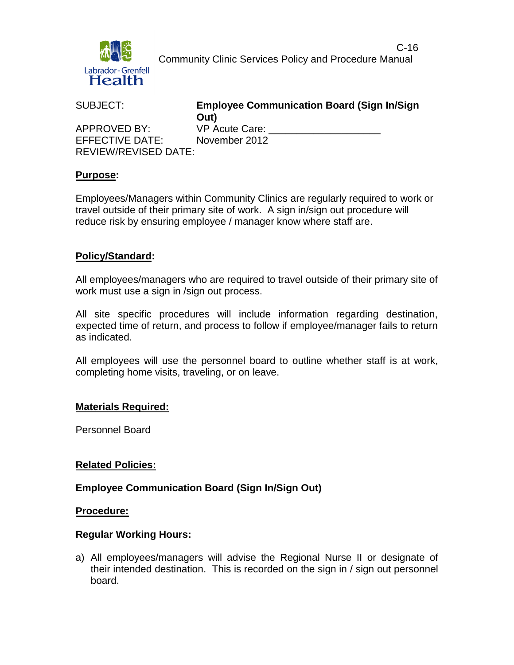

 C-16 Community Clinic Services Policy and Procedure Manual

| SUBJECT:                    | <b>Employee Communication Board (Sign In/Sign)</b><br>Out) |
|-----------------------------|------------------------------------------------------------|
| APPROVED BY:                | VP Acute Care:                                             |
| EFFECTIVE DATE:             | November 2012                                              |
| <b>REVIEW/REVISED DATE:</b> |                                                            |

### **Purpose:**

Employees/Managers within Community Clinics are regularly required to work or travel outside of their primary site of work. A sign in/sign out procedure will reduce risk by ensuring employee / manager know where staff are.

### **Policy/Standard:**

All employees/managers who are required to travel outside of their primary site of work must use a sign in /sign out process.

All site specific procedures will include information regarding destination, expected time of return, and process to follow if employee/manager fails to return as indicated.

All employees will use the personnel board to outline whether staff is at work, completing home visits, traveling, or on leave.

### **Materials Required:**

Personnel Board

### **Related Policies:**

### **Employee Communication Board (Sign In/Sign Out)**

#### **Procedure:**

### **Regular Working Hours:**

a) All employees/managers will advise the Regional Nurse II or designate of their intended destination. This is recorded on the sign in / sign out personnel board.